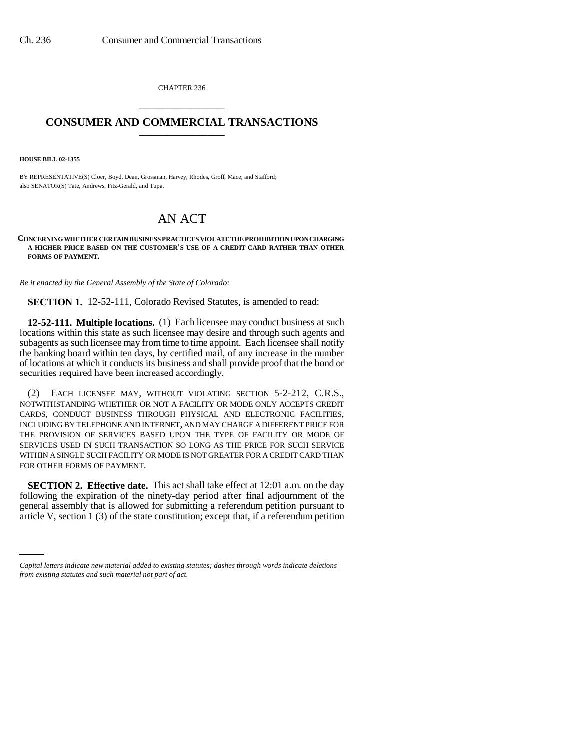CHAPTER 236 \_\_\_\_\_\_\_\_\_\_\_\_\_\_\_

## **CONSUMER AND COMMERCIAL TRANSACTIONS** \_\_\_\_\_\_\_\_\_\_\_\_\_\_\_

**HOUSE BILL 02-1355**

BY REPRESENTATIVE(S) Cloer, Boyd, Dean, Grossman, Harvey, Rhodes, Groff, Mace, and Stafford; also SENATOR(S) Tate, Andrews, Fitz-Gerald, and Tupa.

## AN ACT

## **CONCERNING WHETHER CERTAIN BUSINESS PRACTICES VIOLATE THE PROHIBITION UPON CHARGING A HIGHER PRICE BASED ON THE CUSTOMER'S USE OF A CREDIT CARD RATHER THAN OTHER FORMS OF PAYMENT.**

*Be it enacted by the General Assembly of the State of Colorado:*

**SECTION 1.** 12-52-111, Colorado Revised Statutes, is amended to read:

**12-52-111. Multiple locations.** (1) Each licensee may conduct business at such locations within this state as such licensee may desire and through such agents and subagents as such licensee may from time to time appoint. Each licensee shall notify the banking board within ten days, by certified mail, of any increase in the number of locations at which it conducts its business and shall provide proof that the bond or securities required have been increased accordingly.

(2) EACH LICENSEE MAY, WITHOUT VIOLATING SECTION 5-2-212, C.R.S., NOTWITHSTANDING WHETHER OR NOT A FACILITY OR MODE ONLY ACCEPTS CREDIT CARDS, CONDUCT BUSINESS THROUGH PHYSICAL AND ELECTRONIC FACILITIES, INCLUDING BY TELEPHONE AND INTERNET, AND MAY CHARGE A DIFFERENT PRICE FOR THE PROVISION OF SERVICES BASED UPON THE TYPE OF FACILITY OR MODE OF SERVICES USED IN SUCH TRANSACTION SO LONG AS THE PRICE FOR SUCH SERVICE WITHIN A SINGLE SUCH FACILITY OR MODE IS NOT GREATER FOR A CREDIT CARD THAN FOR OTHER FORMS OF PAYMENT.

general assembly that is allowed for submitting a referendum petition pursuant to **SECTION 2. Effective date.** This act shall take effect at 12:01 a.m. on the day following the expiration of the ninety-day period after final adjournment of the article V, section 1 (3) of the state constitution; except that, if a referendum petition

*Capital letters indicate new material added to existing statutes; dashes through words indicate deletions from existing statutes and such material not part of act.*